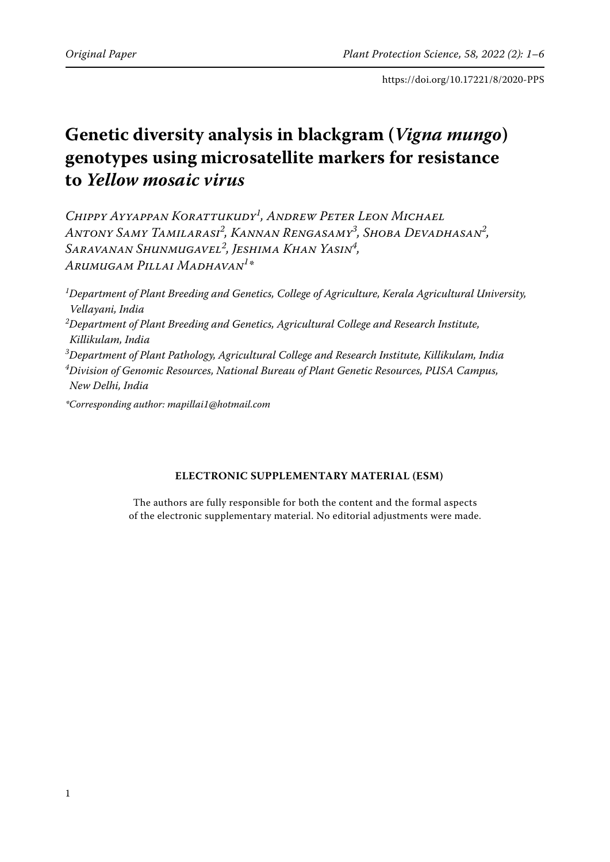# **Genetic diversity analysis in blackgram (***Vigna mungo***) genotypes using microsatellite markers for resistance to** *Yellow mosaic virus*

*Chippy Ayyappan Korattukudy1 , Andrew Peter Leon Michael Antony Samy Tamilarasi<sup>2</sup> , Kannan Rengasamy3 , Shoba Devadhasan2 , Saravanan Shunmugavel<sup>2</sup> , Jeshima Khan Yasin4 , Arumugam Pillai Madhavan1 \**

*1 Department of Plant Breeding and Genetics, College of Agriculture, Kerala Agricultural University, Vellayani, India 2 Department of Plant Breeding and Genetics, Agricultural College and Research Institute, Killikulam, India 3 Department of Plant Pathology, Agricultural College and Research Institute, Killikulam, India 4 Division of Genomic Resources, National Bureau of Plant Genetic Resources, PUSA Campus, New Delhi, India*

*\*Corresponding author: mapillai1@hotmail.com*

#### **ELECTRONIC SUPPLEMENTARY MATERIAL (ESM)**

The authors are fully responsible for both the content and the formal aspects of the electronic supplementary material. No editorial adjustments were made.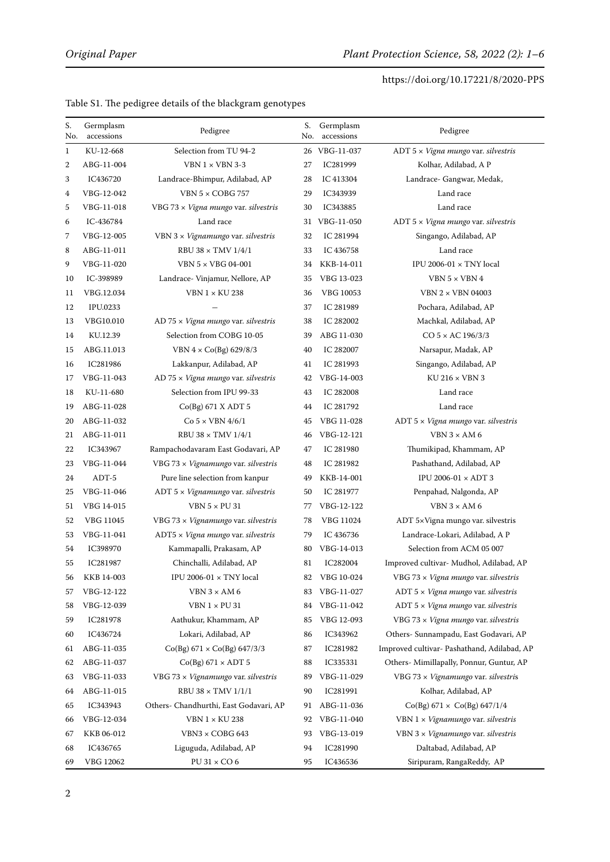| S.<br>No. | Germplasm<br>accessions | Pedigree                                     | S.<br>No. | Germplasm<br>accessions | Pedigree                                    |
|-----------|-------------------------|----------------------------------------------|-----------|-------------------------|---------------------------------------------|
| 1         | KU-12-668               | Selection from TU 94-2                       |           | 26 VBG-11-037           | ADT 5 x Vigna mungo var. silvestris         |
| 2         | ABG-11-004              | VBN $1 \times$ VBN 3-3                       | 27        | IC281999                | Kolhar, Adilabad, A P                       |
| 3         | IC436720                | Landrace-Bhimpur, Adilabad, AP               | 28        | IC 413304               | Landrace- Gangwar, Medak,                   |
| 4         | VBG-12-042              | VBN $5 \times COBG$ 757                      | 29        | IC343939                | Land race                                   |
| 5         | VBG-11-018              | VBG 73 x Vigna mungo var. silvestris         | 30        | IC343885                | Land race                                   |
| 6         | IC-436784               | Land race                                    | 31        | VBG-11-050              | ADT $5 \times V$ igna mungo var. silvestris |
| 7         | VBG-12-005              | VBN 3 x Vignamungo var. silvestris           | 32        | IC 281994               | Singango, Adilabad, AP                      |
| 8         | ABG-11-011              | RBU 38 $\times$ TMV 1/4/1                    | 33        | IC 436758               | Land race                                   |
| 9         | VBG-11-020              | VBN 5 × VBG 04-001                           | 34        | KKB-14-011              | IPU 2006-01 $\times$ TNY local              |
| 10        | IC-398989               | Landrace- Vinjamur, Nellore, AP              | 35        | VBG 13-023              | VBN $5 \times$ VBN 4                        |
| 11        | VBG.12.034              | <b>VBN 1 × KU 238</b>                        | 36        | VBG 10053               | VBN 2 × VBN 04003                           |
| 12        | IPU.0233                |                                              | 37        | IC 281989               | Pochara, Adilabad, AP                       |
| 13        | VBG10.010               | $AD$ 75 $\times$ Vigna mungo var. silvestris | 38        | IC 282002               | Machkal, Adilabad, AP                       |
| 14        | KU.12.39                | Selection from COBG 10-05                    | 39        | ABG 11-030              | $CO 5 \times AC 196/3/3$                    |
| 15        | ABG.11.013              | VBN $4 \times Co(Bg) 629/8/3$                | 40        | IC 282007               | Narsapur, Madak, AP                         |
| 16        | IC281986                | Lakkanpur, Adilabad, AP                      | 41        | IC 281993               | Singango, Adilabad, AP                      |
| 17        | VBG-11-043              | AD 75 $\times$ Vigna mungo var. silvestris   | 42        | VBG-14-003              | $KU 216 \times VBN 3$                       |
| 18        | KU-11-680               | Selection from IPU 99-33                     | 43        | IC 282008               | Land race                                   |
| 19        | ABG-11-028              | Co(Bg) 671 X ADT 5                           | 44        | IC 281792               | Land race                                   |
| 20        | ABG-11-032              | $Co$ 5 $\times$ VBN 4/6/1                    | 45        | VBG 11-028              | ADT $5 \times V$ igna mungo var. silvestris |
| 21        | ABG-11-011              | RBU 38 $\times$ TMV 1/4/1                    | 46        | VBG-12-121              | VBN $3 \times AM6$                          |
| 22        | IC343967                | Rampachodavaram East Godavari, AP            | 47        | IC 281980               | Thumikipad, Khammam, AP                     |
| 23        | VBG-11-044              | VBG 73 x Vignamungo var. silvestris          | 48        | IC 281982               | Pashathand, Adilabad, AP                    |
| 24        | $ADT-5$                 | Pure line selection from kanpur              | 49        | KKB-14-001              | IPU 2006-01 × ADT 3                         |
| 25        | VBG-11-046              | ADT $5 \times V$ ignamungo var. silvestris   | 50        | IC 281977               | Penpahad, Nalgonda, AP                      |
| 51        | VBG 14-015              | VBN $5 \times$ PU 31                         | 77        | VBG-12-122              | VBN $3 \times AM6$                          |
| 52        | VBG 11045               | VBG 73 x Vignamungo var. silvestris          | 78        | VBG 11024               | ADT 5xVigna mungo var. silvestris           |
| 53        | VBG-11-041              | ADT5 x Vigna mungo var. silvestris           | 79        | IC 436736               | Landrace-Lokari, Adilabad, A P              |
| 54        | IC398970                | Kammapalli, Prakasam, AP                     | 80        | VBG-14-013              | Selection from ACM 05 007                   |
| 55        | IC281987                | Chinchalli, Adilabad, AP                     | 81        | IC282004                | Improved cultivar- Mudhol, Adilabad, AP     |
| 56        | KKB 14-003              | IPU 2006-01 $\times$ TNY local               | 82        | VBG 10-024              | VBG 73 x Vigna mungo var. silvestris        |
| 57        | VBG-12-122              | VBN $3 \times AM6$                           | 83        | VBG-11-027              | ADT $5 \times V$ igna mungo var. silvestris |
| 58        | VBG-12-039              | $VBN1 \times PU31$                           | 84        | VBG-11-042              | ADT $5 \times V$ igna mungo var. silvestris |
| 59        | IC281978                | Aathukur, Khammam, AP                        | 85        | VBG 12-093              | VBG 73 x Vigna mungo var. silvestris        |
| 60        | IC436724                | Lokari, Adilabad, AP                         | 86        | IC343962                | Others- Sunnampadu, East Godavari, AP       |
| 61        | ABG-11-035              | $Co(Bg) 671 \times Co(Bg) 647/3/3$           | 87        | IC281982                | Improved cultivar- Pashathand, Adilabad, AP |
| 62        | ABG-11-037              | $Co(Bg) 671 \times ADT 5$                    | 88        | IC335331                | Others- Mimillapally, Ponnur, Guntur, AP    |
| 63        | VBG-11-033              | VBG 73 x Vignamungo var. silvestris          | 89        | VBG-11-029              | VBG 73 x Vignamungo var. silvestris         |
| 64        | ABG-11-015              | RBU 38 $\times$ TMV 1/1/1                    | 90        | IC281991                | Kolhar, Adilabad, AP                        |
| 65        | IC343943                | Others- Chandhurthi, East Godavari, AP       | 91        | ABG-11-036              | $Co(Bg) 671 \times Co(Bg) 647/1/4$          |
| 66        | VBG-12-034              | <b>VBN 1 × KU 238</b>                        | 92        | VBG-11-040              | VBN $1 \times V$ ignamungo var. silvestris  |
| 67        | KKB 06-012              | $VBN3 \times COBG643$                        | 93        | VBG-13-019              | VBN $3 \times V$ ignamungo var. silvestris  |
| 68        | IC436765                | Liguguda, Adilabad, AP                       | 94        | IC281990                | Daltabad, Adilabad, AP                      |
| 69        | VBG 12062               | $PU31 \times CO6$                            | 95        | IC436536                | Siripuram, RangaReddy, AP                   |

Table S1. The pedigree details of the blackgram genotypes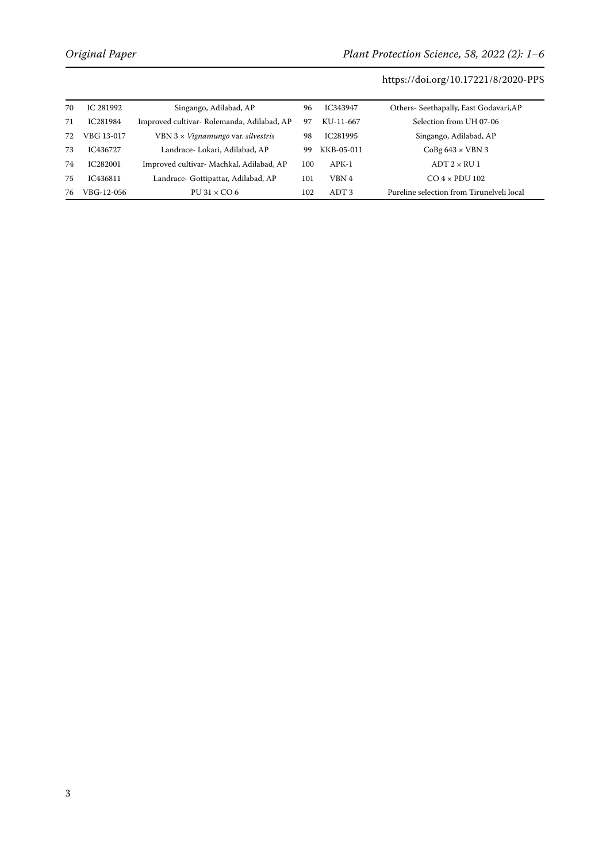| 70 | IC 281992  | Singango, Adilabad, AP                     | 96  | IC343947         | Others- Seethapally, East Godavari, AP    |
|----|------------|--------------------------------------------|-----|------------------|-------------------------------------------|
| 71 | IC281984   | Improved cultivar- Rolemanda, Adilabad, AP | 97  | KU-11-667        | Selection from UH 07-06                   |
| 72 | VBG 13-017 | VBN $3 \times V$ ignamungo var. silvestris | -98 | IC281995         | Singango, Adilabad, AP                    |
| 73 | IC436727   | Landrace- Lokari, Adilabad, AP             | 99  | KKB-05-011       | $CoBg 643 \times VBN 3$                   |
| 74 | IC282001   | Improved cultivar- Machkal, Adilabad, AP   | 100 | $APK-1$          | $ADT$ 2 $\times$ RU 1                     |
| 75 | IC436811   | Landrace- Gottipattar, Adilabad, AP        | 101 | VBN 4            | $CO$ 4 $\times$ PDU 102                   |
| 76 | VBG-12-056 | $PU31 \times CO6$                          | 102 | ADT <sub>3</sub> | Pureline selection from Tirunelveli local |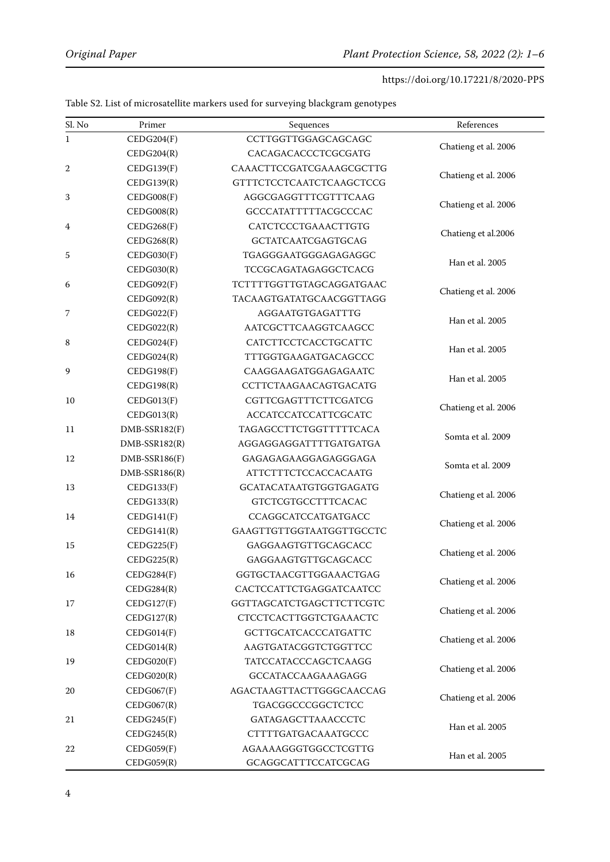| Sl. No | Primer          | Sequences                   | References           |  |
|--------|-----------------|-----------------------------|----------------------|--|
| 1      | CEDG204(F)      | CCTTGGTTGGAGCAGCAGC         |                      |  |
|        | CEDG204(R)      | CACAGACACCCTCGCGATG         | Chatieng et al. 2006 |  |
| 2      | CEDG139(F)      | CAAACTTCCGATCGAAAGCGCTTG    |                      |  |
|        | CEDG139(R)      | GTTTCTCCTCAATCTCAAGCTCCG    | Chatieng et al. 2006 |  |
| 3      | CEDG008(F)      | AGGCGAGGTTTCGTTTCAAG        |                      |  |
|        | CEDG008(R)      | GCCCATATTTTTACGCCCAC        | Chatieng et al. 2006 |  |
| 4      | CEDG268(F)      | CATCTCCCTGAAACTTGTG         |                      |  |
|        | CEDG268(R)      | GCTATCAATCGAGTGCAG          | Chatieng et al.2006  |  |
| 5      | CEDG030(F)      | TGAGGGAATGGGAGAGAGGC        |                      |  |
|        | CEDG030(R)      | TCCGCAGATAGAGGCTCACG        | Han et al. 2005      |  |
| 6      | CEDG092(F)      | TCTTTTGGTTGTAGCAGGATGAAC    |                      |  |
|        | CEDG092(R)      | TACAAGTGATATGCAACGGTTAGG    | Chatieng et al. 2006 |  |
| 7      | CEDG022(F)      | AGGAATGTGAGATTTG            |                      |  |
|        | CEDG022(R)      | AATCGCTTCAAGGTCAAGCC        | Han et al. 2005      |  |
| 8      | CEDG024(F)      | CATCTTCCTCACCTGCATTC        |                      |  |
|        | CEDG024(R)      | TTTGGTGAAGATGACAGCCC        | Han et al. 2005      |  |
| 9      | CEDG198(F)      | CAAGGAAGATGGAGAGAATC        |                      |  |
|        | CEDG198(R)      | CCTTCTAAGAACAGTGACATG       | Han et al. 2005      |  |
| 10     | CEDG013(F)      | CGTTCGAGTTTCTTCGATCG        | Chatieng et al. 2006 |  |
|        | CEDG013(R)      | <b>ACCATCCATCCATTCGCATC</b> |                      |  |
| 11     | DMB-SSR182(F)   | TAGAGCCTTCTGGTTTTTCACA      | Somta et al. 2009    |  |
|        | DMB-SSR182(R)   | AGGAGGAGGATTTTGATGATGA      |                      |  |
| 12     | DMB-SSR186(F)   | GAGAGAGAAGGAGAGGGAGA        | Somta et al. 2009    |  |
|        | $DMB-SSR186(R)$ | ATTCTTTCTCCACCACAATG        |                      |  |
| 13     | CEDG133(F)      | GCATACATAATGTGGTGAGATG      | Chatieng et al. 2006 |  |
|        | CEDG133(R)      | GTCTCGTGCCTTTCACAC          |                      |  |
| 14     | CEDG141(F)      | CCAGGCATCCATGATGACC         |                      |  |
|        | CEDG141(R)      | GAAGTTGTTGGTAATGGTTGCCTC    | Chatieng et al. 2006 |  |
| 15     | CEDG225(F)      | GAGGAAGTGTTGCAGCACC         |                      |  |
|        | CEDG225(R)      | GAGGAAGTGTTGCAGCACC         | Chatieng et al. 2006 |  |
| 16     | CEDG284(F)      | GGTGCTAACGTTGGAAACTGAG      | Chatieng et al. 2006 |  |
|        | CEDG284(R)      | CACTCCATTCTGAGGATCAATCC     |                      |  |
| 17     | CEDG127(F)      | GGTTAGCATCTGAGCTTCTTCGTC    | Chatieng et al. 2006 |  |
|        | CEDG127(R)      | CTCCTCACTTGGTCTGAAACTC      |                      |  |
| 18     | CEDG014(F)      | GCTTGCATCACCCATGATTC        | Chatieng et al. 2006 |  |
|        | CEDG014(R)      | AAGTGATACGGTCTGGTTCC        |                      |  |
| 19     | CEDG020(F)      | TATCCATACCCAGCTCAAGG        | Chatieng et al. 2006 |  |
|        | CEDG020(R)      | GCCATACCAAGAAAGAGG          |                      |  |
| 20     | CEDG067(F)      | AGACTAAGTTACTTGGGCAACCAG    | Chatieng et al. 2006 |  |
|        | CEDG067(R)      | TGACGGCCCGGCTCTCC           |                      |  |
| 21     | CEDG245(F)      | GATAGAGCTTAAACCCTC          | Han et al. 2005      |  |
|        | CEDG245(R)      | CTTTTGATGACAAATGCCC         |                      |  |
| 22     | CEDG059(F)      | AGAAAAGGGTGGCCTCGTTG        | Han et al. 2005      |  |
|        | CEDG059(R)      | GCAGGCATTTCCATCGCAG         |                      |  |

Table S2. List of microsatellite markers used for surveying blackgram genotypes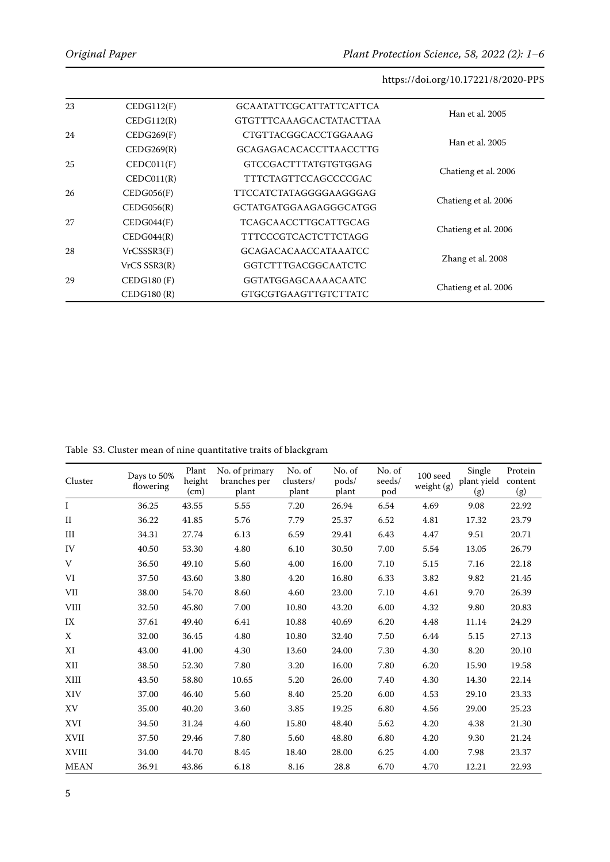| 23 | CEDG112(F)        | <b>GCAATATTCGCATTATTCATTCA</b> | Han et al. 2005      |  |
|----|-------------------|--------------------------------|----------------------|--|
|    | CEDG112(R)        | <b>GTGTTTCAAAGCACTATACTTAA</b> |                      |  |
| 24 | CEDG269(F)        | <b>CTGTTACGGCACCTGGAAAG</b>    | Han et al. 2005      |  |
|    | CEDG269(R)        | <b>GCAGAGACACACCTTAACCTTG</b>  |                      |  |
| 25 | CEDC011(F)        | GTCCGACTTTATGTGTGGAG           |                      |  |
|    | CEDC011(R)        | TTTCTAGTTCCAGCCCCGAC           | Chatieng et al. 2006 |  |
| 26 | CEDG056(F)        | TTCCATCTATAGGGGAAGGGAG         | Chatieng et al. 2006 |  |
|    | CEDG056(R)        | GCTATGATGGAAGAGGGCATGG         |                      |  |
| 27 | CEDG044(F)        | <b>TCAGCAACCTTGCATTGCAG</b>    | Chatieng et al. 2006 |  |
|    | CEDG044(R)        | <b>TTTCCCGTCACTCTTCTAGG</b>    |                      |  |
| 28 | VrCSSSR3(F)       | <b>GCAGACACAACCATAAATCC</b>    |                      |  |
|    | $VrCS$ SSR3 $(R)$ | GGTCTTTGACGGCAATCTC            | Zhang et al. 2008    |  |
| 29 | CEDG180(F)        | GGTATGGAGCAAAACAATC            |                      |  |
|    | CEDG180(R)        | <b>GTGCGTGAAGTTGTCTTATC</b>    | Chatieng et al. 2006 |  |

Table S3. Cluster mean of nine quantitative traits of blackgram

| Cluster      | Days to 50%<br>flowering | Plant<br>height<br>(cm) | No. of primary<br>branches per<br>plant | No. of<br>clusters/<br>plant | No. of<br>pods/<br>plant | No. of<br>seeds/<br>pod | $100\;\mathrm{seed}$<br>weight (g) | Single<br>plant yield<br>(g) | Protein<br>content<br>(g) |
|--------------|--------------------------|-------------------------|-----------------------------------------|------------------------------|--------------------------|-------------------------|------------------------------------|------------------------------|---------------------------|
| L            | 36.25                    | 43.55                   | 5.55                                    | 7.20                         | 26.94                    | 6.54                    | 4.69                               | 9.08                         | 22.92                     |
| $\mathbf{I}$ | 36.22                    | 41.85                   | 5.76                                    | 7.79                         | 25.37                    | 6.52                    | 4.81                               | 17.32                        | 23.79                     |
| III          | 34.31                    | 27.74                   | 6.13                                    | 6.59                         | 29.41                    | 6.43                    | 4.47                               | 9.51                         | 20.71                     |
| IV           | 40.50                    | 53.30                   | 4.80                                    | 6.10                         | 30.50                    | 7.00                    | 5.54                               | 13.05                        | 26.79                     |
| V            | 36.50                    | 49.10                   | 5.60                                    | 4.00                         | 16.00                    | 7.10                    | 5.15                               | 7.16                         | 22.18                     |
| VI           | 37.50                    | 43.60                   | 3.80                                    | 4.20                         | 16.80                    | 6.33                    | 3.82                               | 9.82                         | 21.45                     |
| <b>VII</b>   | 38.00                    | 54.70                   | 8.60                                    | 4.60                         | 23.00                    | 7.10                    | 4.61                               | 9.70                         | 26.39                     |
| <b>VIII</b>  | 32.50                    | 45.80                   | 7.00                                    | 10.80                        | 43.20                    | 6.00                    | 4.32                               | 9.80                         | 20.83                     |
| IX           | 37.61                    | 49.40                   | 6.41                                    | 10.88                        | 40.69                    | 6.20                    | 4.48                               | 11.14                        | 24.29                     |
| X            | 32.00                    | 36.45                   | 4.80                                    | 10.80                        | 32.40                    | 7.50                    | 6.44                               | 5.15                         | 27.13                     |
| XI           | 43.00                    | 41.00                   | 4.30                                    | 13.60                        | 24.00                    | 7.30                    | 4.30                               | 8.20                         | 20.10                     |
| XII          | 38.50                    | 52.30                   | 7.80                                    | 3.20                         | 16.00                    | 7.80                    | 6.20                               | 15.90                        | 19.58                     |
| XIII         | 43.50                    | 58.80                   | 10.65                                   | 5.20                         | 26.00                    | 7.40                    | 4.30                               | 14.30                        | 22.14                     |
| XIV          | 37.00                    | 46.40                   | 5.60                                    | 8.40                         | 25.20                    | 6.00                    | 4.53                               | 29.10                        | 23.33                     |
| XV           | 35.00                    | 40.20                   | 3.60                                    | 3.85                         | 19.25                    | 6.80                    | 4.56                               | 29.00                        | 25.23                     |
| <b>XVI</b>   | 34.50                    | 31.24                   | 4.60                                    | 15.80                        | 48.40                    | 5.62                    | 4.20                               | 4.38                         | 21.30                     |
| XVII         | 37.50                    | 29.46                   | 7.80                                    | 5.60                         | 48.80                    | 6.80                    | 4.20                               | 9.30                         | 21.24                     |
| <b>XVIII</b> | 34.00                    | 44.70                   | 8.45                                    | 18.40                        | 28.00                    | 6.25                    | 4.00                               | 7.98                         | 23.37                     |
| <b>MEAN</b>  | 36.91                    | 43.86                   | 6.18                                    | 8.16                         | 28.8                     | 6.70                    | 4.70                               | 12.21                        | 22.93                     |